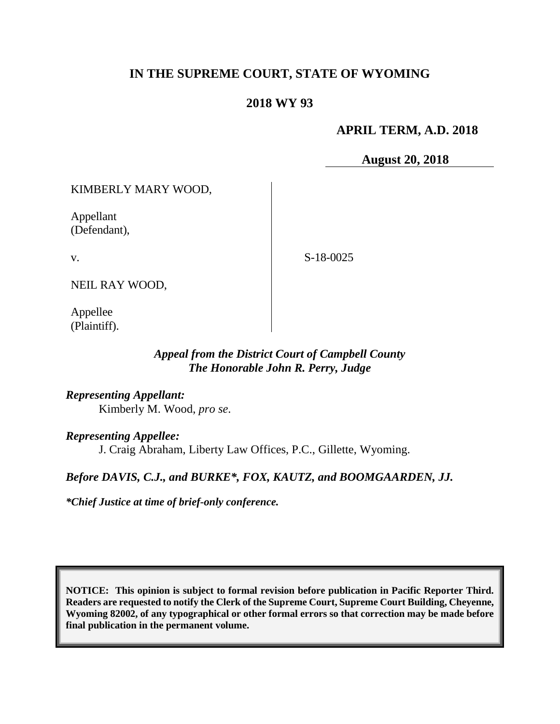# **IN THE SUPREME COURT, STATE OF WYOMING**

## **2018 WY 93**

## **APRIL TERM, A.D. 2018**

**August 20, 2018**

KIMBERLY MARY WOOD,

Appellant (Defendant),

v.

S-18-0025

NEIL RAY WOOD,

Appellee (Plaintiff).

# *Appeal from the District Court of Campbell County The Honorable John R. Perry, Judge*

*Representing Appellant:* Kimberly M. Wood, *pro se*.

*Representing Appellee:*

J. Craig Abraham, Liberty Law Offices, P.C., Gillette, Wyoming.

*Before DAVIS, C.J., and BURKE\*, FOX, KAUTZ, and BOOMGAARDEN, JJ.*

*\*Chief Justice at time of brief-only conference.*

**NOTICE: This opinion is subject to formal revision before publication in Pacific Reporter Third. Readers are requested to notify the Clerk of the Supreme Court, Supreme Court Building, Cheyenne, Wyoming 82002, of any typographical or other formal errors so that correction may be made before final publication in the permanent volume.**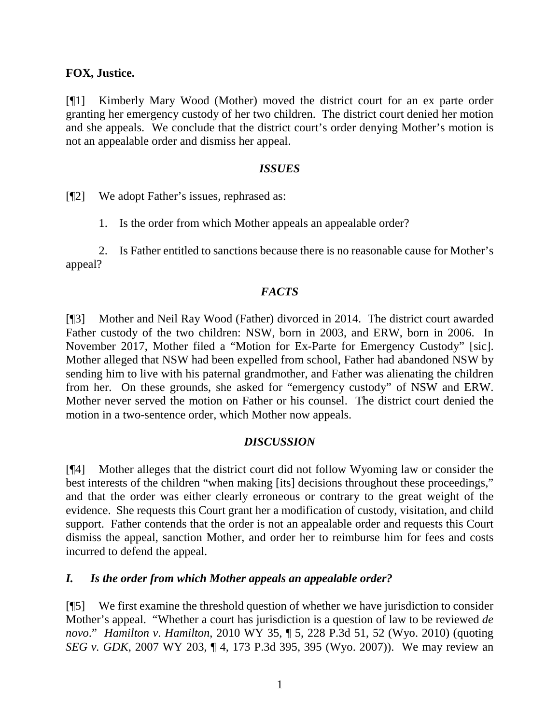## **FOX, Justice.**

[¶1] Kimberly Mary Wood (Mother) moved the district court for an ex parte order granting her emergency custody of her two children. The district court denied her motion and she appeals. We conclude that the district court's order denying Mother's motion is not an appealable order and dismiss her appeal.

#### *ISSUES*

[¶2] We adopt Father's issues, rephrased as:

1. Is the order from which Mother appeals an appealable order?

2. Is Father entitled to sanctions because there is no reasonable cause for Mother's appeal?

## *FACTS*

[¶3] Mother and Neil Ray Wood (Father) divorced in 2014. The district court awarded Father custody of the two children: NSW, born in 2003, and ERW, born in 2006. In November 2017, Mother filed a "Motion for Ex-Parte for Emergency Custody" [sic]. Mother alleged that NSW had been expelled from school, Father had abandoned NSW by sending him to live with his paternal grandmother, and Father was alienating the children from her. On these grounds, she asked for "emergency custody" of NSW and ERW. Mother never served the motion on Father or his counsel. The district court denied the motion in a two-sentence order, which Mother now appeals.

# *DISCUSSION*

[¶4] Mother alleges that the district court did not follow Wyoming law or consider the best interests of the children "when making [its] decisions throughout these proceedings," and that the order was either clearly erroneous or contrary to the great weight of the evidence. She requests this Court grant her a modification of custody, visitation, and child support. Father contends that the order is not an appealable order and requests this Court dismiss the appeal, sanction Mother, and order her to reimburse him for fees and costs incurred to defend the appeal.

#### *I. Is the order from which Mother appeals an appealable order?*

[¶5] We first examine the threshold question of whether we have jurisdiction to consider Mother's appeal. "Whether a court has jurisdiction is a question of law to be reviewed *de novo*." *Hamilton v. Hamilton*, 2010 WY 35, ¶ 5, 228 P.3d 51, 52 (Wyo. 2010) (quoting *SEG v. GDK*, 2007 WY 203, ¶ 4, 173 P.3d 395, 395 (Wyo. 2007)). We may review an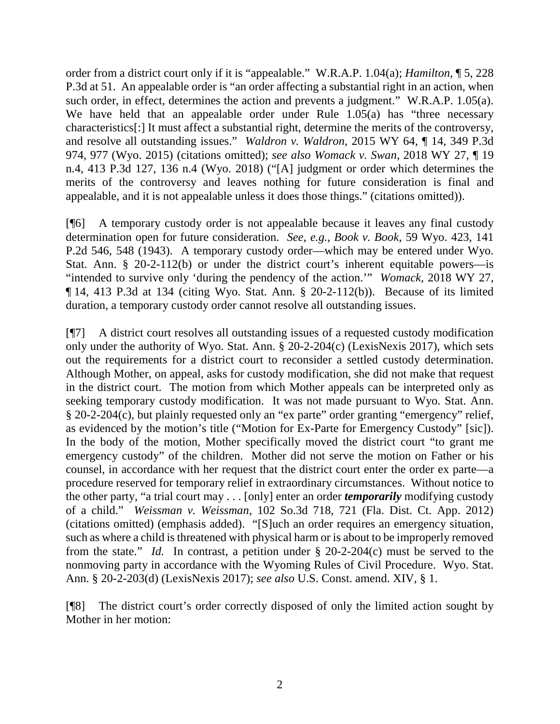order from a district court only if it is "appealable." W.R.A.P. 1.04(a); *Hamilton*, ¶ 5, 228 P.3d at 51. An appealable order is "an order affecting a substantial right in an action, when such order, in effect, determines the action and prevents a judgment." W.R.A.P. 1.05(a). We have held that an appealable order under Rule 1.05(a) has "three necessary characteristics[:] It must affect a substantial right, determine the merits of the controversy, and resolve all outstanding issues." *Waldron v. Waldron*, 2015 WY 64, ¶ 14, 349 P.3d 974, 977 (Wyo. 2015) (citations omitted); *see also Womack v. Swan*, 2018 WY 27, ¶ 19 n.4, 413 P.3d 127, 136 n.4 (Wyo. 2018) ("[A] judgment or order which determines the merits of the controversy and leaves nothing for future consideration is final and appealable, and it is not appealable unless it does those things." (citations omitted)).

[¶6] A temporary custody order is not appealable because it leaves any final custody determination open for future consideration. *See*, *e.g.*, *Book v. Book*, 59 Wyo. 423, 141 P.2d 546, 548 (1943). A temporary custody order—which may be entered under Wyo. Stat. Ann. § 20-2-112(b) or under the district court's inherent equitable powers—is "intended to survive only 'during the pendency of the action.'" *Womack*, 2018 WY 27, ¶ 14, 413 P.3d at 134 (citing Wyo. Stat. Ann. § 20-2-112(b)). Because of its limited duration, a temporary custody order cannot resolve all outstanding issues.

[¶7] A district court resolves all outstanding issues of a requested custody modification only under the authority of Wyo. Stat. Ann. § 20-2-204(c) (LexisNexis 2017), which sets out the requirements for a district court to reconsider a settled custody determination. Although Mother, on appeal, asks for custody modification, she did not make that request in the district court. The motion from which Mother appeals can be interpreted only as seeking temporary custody modification. It was not made pursuant to Wyo. Stat. Ann. § 20-2-204(c), but plainly requested only an "ex parte" order granting "emergency" relief, as evidenced by the motion's title ("Motion for Ex-Parte for Emergency Custody" [sic]). In the body of the motion, Mother specifically moved the district court "to grant me emergency custody" of the children. Mother did not serve the motion on Father or his counsel, in accordance with her request that the district court enter the order ex parte—a procedure reserved for temporary relief in extraordinary circumstances. Without notice to the other party, "a trial court may . . . [only] enter an order *temporarily* modifying custody of a child." *Weissman v. Weissman*, 102 So.3d 718, 721 (Fla. Dist. Ct. App. 2012) (citations omitted) (emphasis added). "[S]uch an order requires an emergency situation, such as where a child is threatened with physical harm or is about to be improperly removed from the state." *Id.* In contrast, a petition under § 20-2-204(c) must be served to the nonmoving party in accordance with the Wyoming Rules of Civil Procedure. Wyo. Stat. Ann. § 20-2-203(d) (LexisNexis 2017); *see also* U.S. Const. amend. XIV, § 1.

[¶8] The district court's order correctly disposed of only the limited action sought by Mother in her motion: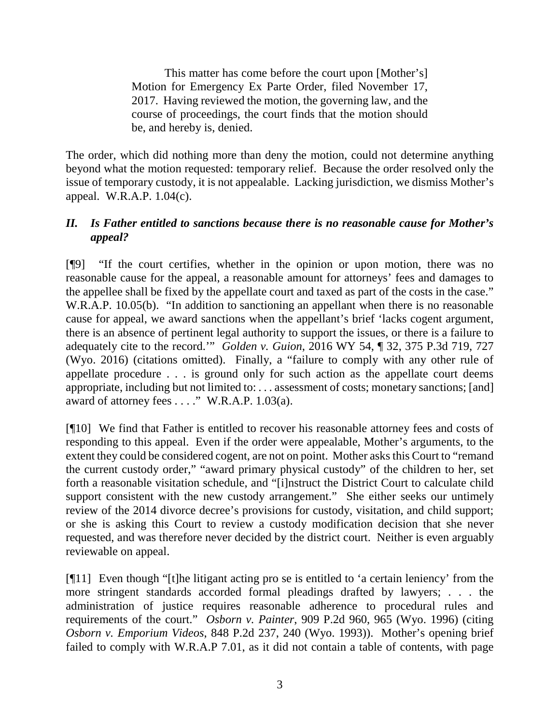This matter has come before the court upon [Mother's] Motion for Emergency Ex Parte Order, filed November 17, 2017. Having reviewed the motion, the governing law, and the course of proceedings, the court finds that the motion should be, and hereby is, denied.

The order, which did nothing more than deny the motion, could not determine anything beyond what the motion requested: temporary relief. Because the order resolved only the issue of temporary custody, it is not appealable. Lacking jurisdiction, we dismiss Mother's appeal. W.R.A.P. 1.04(c).

# *II. Is Father entitled to sanctions because there is no reasonable cause for Mother's appeal?*

[¶9] "If the court certifies, whether in the opinion or upon motion, there was no reasonable cause for the appeal, a reasonable amount for attorneys' fees and damages to the appellee shall be fixed by the appellate court and taxed as part of the costs in the case." W.R.A.P. 10.05(b). "In addition to sanctioning an appellant when there is no reasonable cause for appeal, we award sanctions when the appellant's brief 'lacks cogent argument, there is an absence of pertinent legal authority to support the issues, or there is a failure to adequately cite to the record.'" *Golden v. Guion*, 2016 WY 54, ¶ 32, 375 P.3d 719, 727 (Wyo. 2016) (citations omitted). Finally, a "failure to comply with any other rule of appellate procedure . . . is ground only for such action as the appellate court deems appropriate, including but not limited to: . . . assessment of costs; monetary sanctions; [and] award of attorney fees . . . ." W.R.A.P. 1.03(a).

[¶10] We find that Father is entitled to recover his reasonable attorney fees and costs of responding to this appeal. Even if the order were appealable, Mother's arguments, to the extent they could be considered cogent, are not on point. Mother asks this Court to "remand the current custody order," "award primary physical custody" of the children to her, set forth a reasonable visitation schedule, and "[i]nstruct the District Court to calculate child support consistent with the new custody arrangement." She either seeks our untimely review of the 2014 divorce decree's provisions for custody, visitation, and child support; or she is asking this Court to review a custody modification decision that she never requested, and was therefore never decided by the district court. Neither is even arguably reviewable on appeal.

[¶11] Even though "[t]he litigant acting pro se is entitled to 'a certain leniency' from the more stringent standards accorded formal pleadings drafted by lawyers; . . . the administration of justice requires reasonable adherence to procedural rules and requirements of the court." *Osborn v. Painter*, 909 P.2d 960, 965 (Wyo. 1996) (citing *Osborn v. Emporium Videos*, 848 P.2d 237, 240 (Wyo. 1993)). Mother's opening brief failed to comply with W.R.A.P 7.01, as it did not contain a table of contents, with page